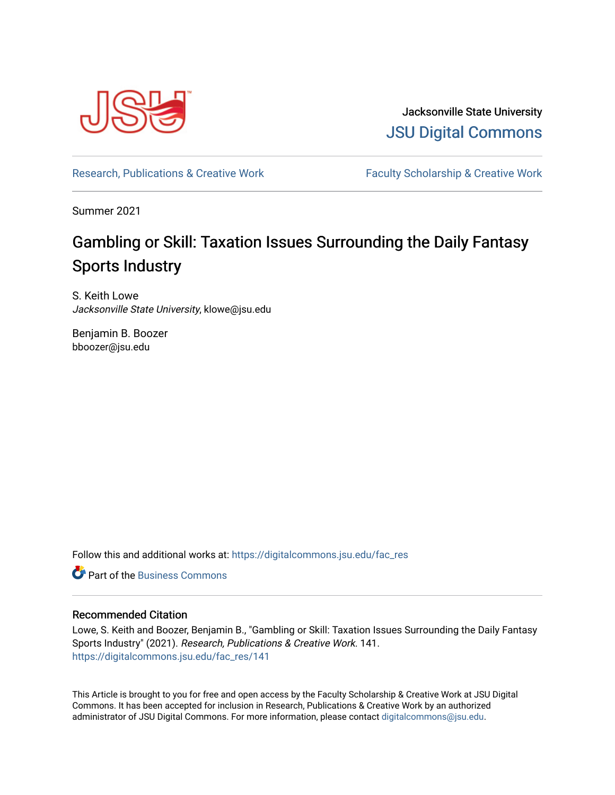

Jacksonville State University [JSU Digital Commons](https://digitalcommons.jsu.edu/) 

[Research, Publications & Creative Work](https://digitalcommons.jsu.edu/fac_res) Faculty Scholarship & Creative Work

Summer 2021

# Gambling or Skill: Taxation Issues Surrounding the Daily Fantasy Sports Industry

S. Keith Lowe Jacksonville State University, klowe@jsu.edu

Benjamin B. Boozer bboozer@jsu.edu

Follow this and additional works at: [https://digitalcommons.jsu.edu/fac\\_res](https://digitalcommons.jsu.edu/fac_res?utm_source=digitalcommons.jsu.edu%2Ffac_res%2F141&utm_medium=PDF&utm_campaign=PDFCoverPages) 

**C** Part of the [Business Commons](https://network.bepress.com/hgg/discipline/622?utm_source=digitalcommons.jsu.edu%2Ffac_res%2F141&utm_medium=PDF&utm_campaign=PDFCoverPages)

# Recommended Citation

Lowe, S. Keith and Boozer, Benjamin B., "Gambling or Skill: Taxation Issues Surrounding the Daily Fantasy Sports Industry" (2021). Research, Publications & Creative Work. 141. [https://digitalcommons.jsu.edu/fac\\_res/141](https://digitalcommons.jsu.edu/fac_res/141?utm_source=digitalcommons.jsu.edu%2Ffac_res%2F141&utm_medium=PDF&utm_campaign=PDFCoverPages) 

This Article is brought to you for free and open access by the Faculty Scholarship & Creative Work at JSU Digital Commons. It has been accepted for inclusion in Research, Publications & Creative Work by an authorized administrator of JSU Digital Commons. For more information, please contact [digitalcommons@jsu.edu.](mailto:digitalcommons@jsu.edu)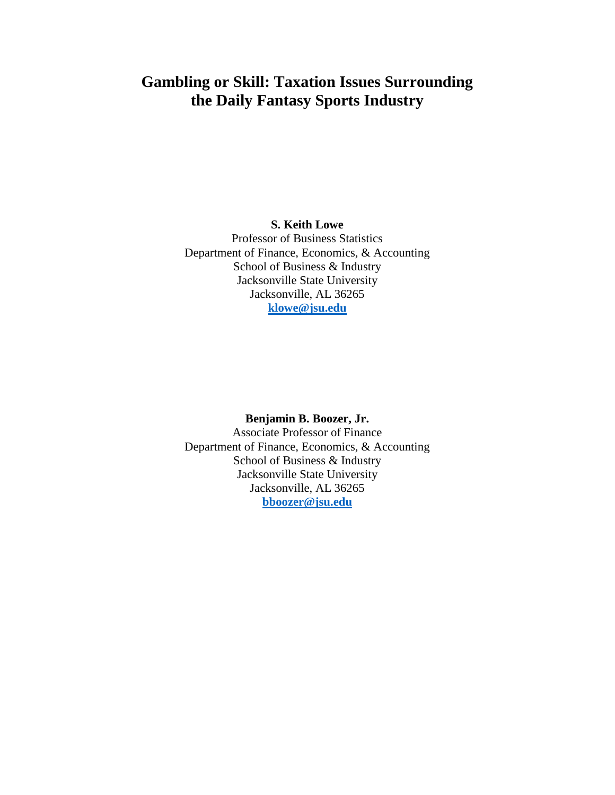# **Gambling or Skill: Taxation Issues Surrounding the Daily Fantasy Sports Industry**

# **S. Keith Lowe**

Professor of Business Statistics Department of Finance, Economics, & Accounting School of Business & Industry Jacksonville State University Jacksonville, AL 36265 **[klowe@jsu.edu](mailto:klowe@jsu.edu)**

#### **Benjamin B. Boozer, Jr.**

Associate Professor of Finance Department of Finance, Economics, & Accounting School of Business & Industry Jacksonville State University Jacksonville, AL 36265 **[bboozer@jsu.edu](mailto:bboozer@jsu.edu)**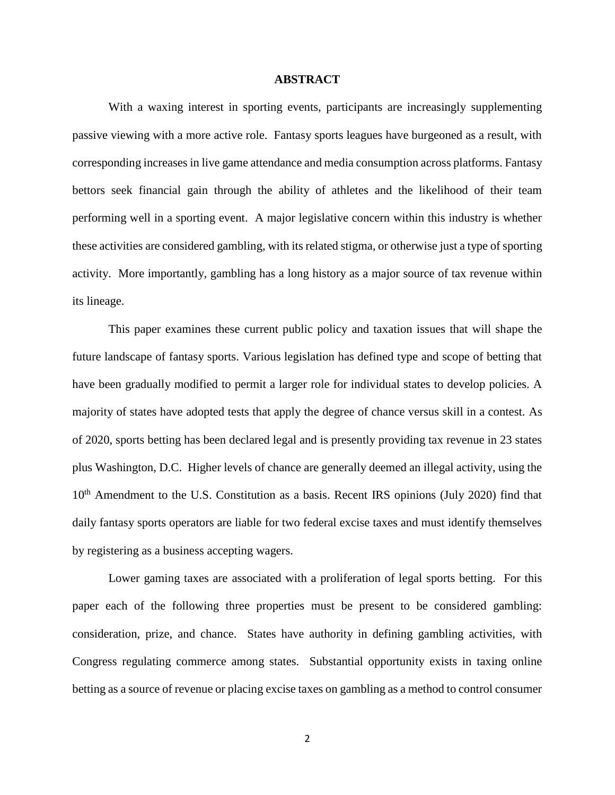### **ABSTRACT**

With a waxing interest in sporting events, participants are increasingly supplementing passive viewing with a more active role. Fantasy sports leagues have burgeoned as a result, with corresponding increases in live game attendance and media consumption across platforms. Fantasy bettors seek financial gain through the ability of athletes and the likelihood of their team performing well in a sporting event. A major legislative concern within this industry is whether these activities are considered gambling, with its related stigma, or otherwise just a type of sporting activity. More importantly, gambling has a long history as a major source of tax revenue within its lineage.

This paper examines these current public policy and taxation issues that will shape the future landscape of fantasy sports. Various legislation has defined type and scope of betting that have been gradually modified to permit a larger role for individual states to develop policies. A majority of states have adopted tests that apply the degree of chance versus skill in a contest. As of 2020, sports betting has been declared legal and is presently providing tax revenue in 23 states plus Washington, D.C. Higher levels of chance are generally deemed an illegal activity, using the 10<sup>th</sup> Amendment to the U.S. Constitution as a basis. Recent IRS opinions (July 2020) find that daily fantasy sports operators are liable for two federal excise taxes and must identify themselves by registering as a business accepting wagers.

Lower gaming taxes are associated with a proliferation of legal sports betting. For this paper each of the following three properties must be present to be considered gambling: consideration, prize, and chance. States have authority in defining gambling activities, with Congress regulating commerce among states. Substantial opportunity exists in taxing online betting as a source of revenue or placing excise taxes on gambling as a method to control consumer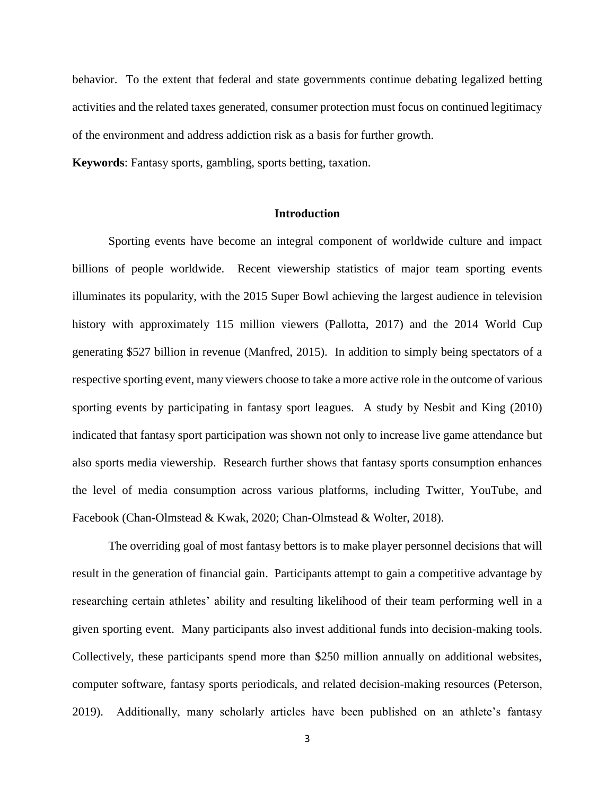behavior. To the extent that federal and state governments continue debating legalized betting activities and the related taxes generated, consumer protection must focus on continued legitimacy of the environment and address addiction risk as a basis for further growth.

**Keywords**: Fantasy sports, gambling, sports betting, taxation.

#### **Introduction**

Sporting events have become an integral component of worldwide culture and impact billions of people worldwide. Recent viewership statistics of major team sporting events illuminates its popularity, with the 2015 Super Bowl achieving the largest audience in television history with approximately 115 million viewers (Pallotta, 2017) and the 2014 World Cup generating \$527 billion in revenue (Manfred, 2015). In addition to simply being spectators of a respective sporting event, many viewers choose to take a more active role in the outcome of various sporting events by participating in fantasy sport leagues. A study by Nesbit and King (2010) indicated that fantasy sport participation was shown not only to increase live game attendance but also sports media viewership. Research further shows that fantasy sports consumption enhances the level of media consumption across various platforms, including Twitter, YouTube, and Facebook (Chan-Olmstead & Kwak, 2020; Chan-Olmstead & Wolter, 2018).

The overriding goal of most fantasy bettors is to make player personnel decisions that will result in the generation of financial gain. Participants attempt to gain a competitive advantage by researching certain athletes' ability and resulting likelihood of their team performing well in a given sporting event. Many participants also invest additional funds into decision-making tools. Collectively, these participants spend more than \$250 million annually on additional websites, computer software, fantasy sports periodicals, and related decision-making resources (Peterson, 2019). Additionally, many scholarly articles have been published on an athlete's fantasy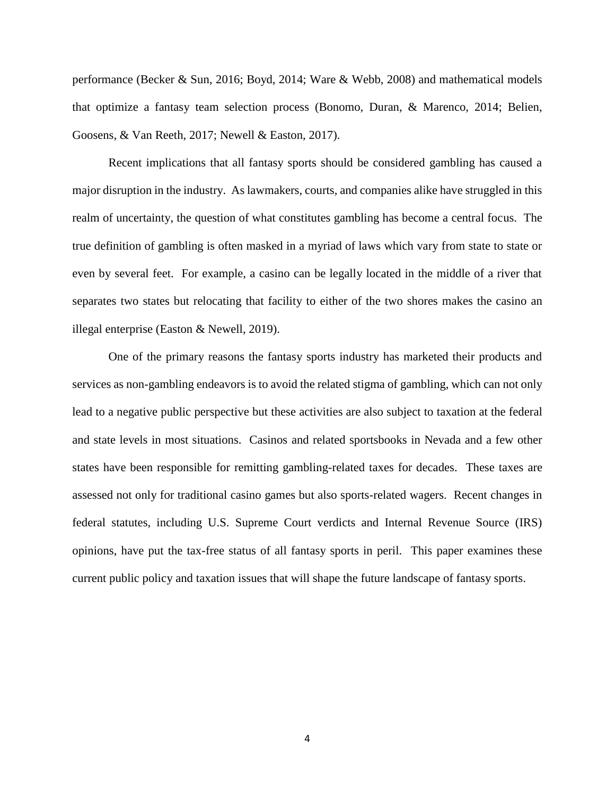performance (Becker & Sun, 2016; Boyd, 2014; Ware & Webb, 2008) and mathematical models that optimize a fantasy team selection process (Bonomo, Duran, & Marenco, 2014; Belien, Goosens, & Van Reeth, 2017; Newell & Easton, 2017).

Recent implications that all fantasy sports should be considered gambling has caused a major disruption in the industry. As lawmakers, courts, and companies alike have struggled in this realm of uncertainty, the question of what constitutes gambling has become a central focus. The true definition of gambling is often masked in a myriad of laws which vary from state to state or even by several feet. For example, a casino can be legally located in the middle of a river that separates two states but relocating that facility to either of the two shores makes the casino an illegal enterprise (Easton & Newell, 2019).

One of the primary reasons the fantasy sports industry has marketed their products and services as non-gambling endeavors is to avoid the related stigma of gambling, which can not only lead to a negative public perspective but these activities are also subject to taxation at the federal and state levels in most situations. Casinos and related sportsbooks in Nevada and a few other states have been responsible for remitting gambling-related taxes for decades. These taxes are assessed not only for traditional casino games but also sports-related wagers. Recent changes in federal statutes, including U.S. Supreme Court verdicts and Internal Revenue Source (IRS) opinions, have put the tax-free status of all fantasy sports in peril. This paper examines these current public policy and taxation issues that will shape the future landscape of fantasy sports.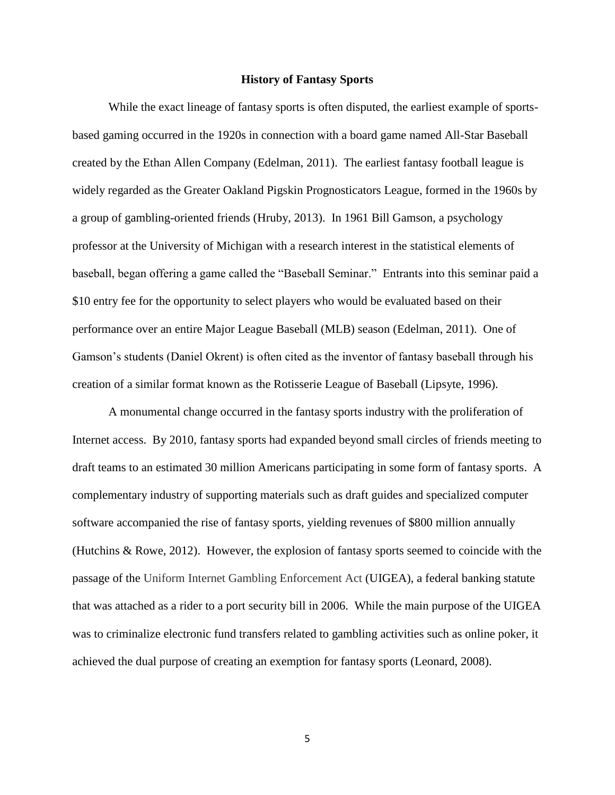#### **History of Fantasy Sports**

While the exact lineage of fantasy sports is often disputed, the earliest example of sportsbased gaming occurred in the 1920s in connection with a board game named All-Star Baseball created by the Ethan Allen Company (Edelman, 2011). The earliest fantasy football league is widely regarded as the Greater Oakland Pigskin Prognosticators League, formed in the 1960s by a group of gambling-oriented friends (Hruby, 2013). In 1961 Bill Gamson, a psychology professor at the University of Michigan with a research interest in the statistical elements of baseball, began offering a game called the "Baseball Seminar." Entrants into this seminar paid a \$10 entry fee for the opportunity to select players who would be evaluated based on their performance over an entire Major League Baseball (MLB) season (Edelman, 2011). One of Gamson's students (Daniel Okrent) is often cited as the inventor of fantasy baseball through his creation of a similar format known as the Rotisserie League of Baseball (Lipsyte, 1996).

A monumental change occurred in the fantasy sports industry with the proliferation of Internet access. By 2010, fantasy sports had expanded beyond small circles of friends meeting to draft teams to an estimated 30 million Americans participating in some form of fantasy sports. A complementary industry of supporting materials such as draft guides and specialized computer software accompanied the rise of fantasy sports, yielding revenues of \$800 million annually (Hutchins & Rowe, 2012). However, the explosion of fantasy sports seemed to coincide with the passage of the Uniform Internet Gambling Enforcement Act (UIGEA), a federal banking statute that was attached as a rider to a port security bill in 2006. While the main purpose of the UIGEA was to criminalize electronic fund transfers related to gambling activities such as online poker, it achieved the dual purpose of creating an exemption for fantasy sports (Leonard, 2008).

5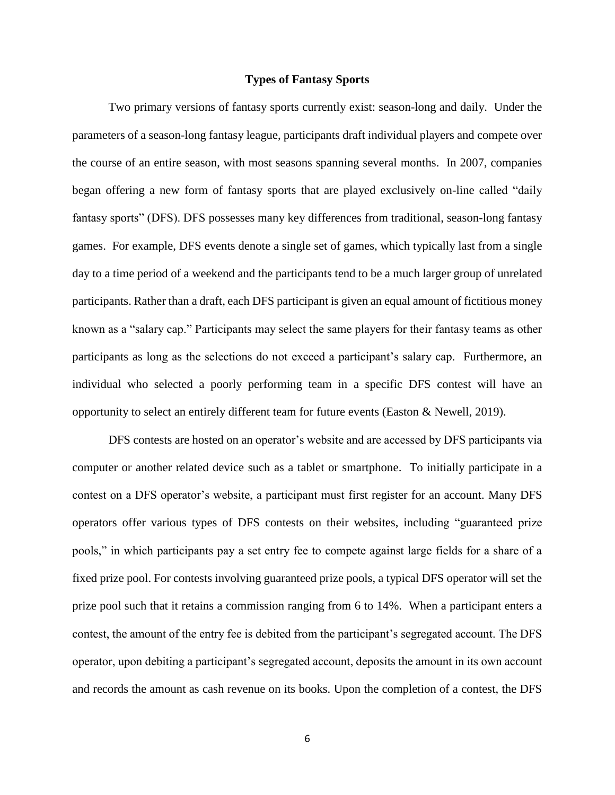# **Types of Fantasy Sports**

Two primary versions of fantasy sports currently exist: season-long and daily. Under the parameters of a season-long fantasy league, participants draft individual players and compete over the course of an entire season, with most seasons spanning several months. In 2007, companies began offering a new form of fantasy sports that are played exclusively on-line called "daily fantasy sports" (DFS). DFS possesses many key differences from traditional, season-long fantasy games. For example, DFS events denote a single set of games, which typically last from a single day to a time period of a weekend and the participants tend to be a much larger group of unrelated participants. Rather than a draft, each DFS participant is given an equal amount of fictitious money known as a "salary cap." Participants may select the same players for their fantasy teams as other participants as long as the selections do not exceed a participant's salary cap. Furthermore, an individual who selected a poorly performing team in a specific DFS contest will have an opportunity to select an entirely different team for future events (Easton & Newell, 2019).

DFS contests are hosted on an operator's website and are accessed by DFS participants via computer or another related device such as a tablet or smartphone. To initially participate in a contest on a DFS operator's website, a participant must first register for an account. Many DFS operators offer various types of DFS contests on their websites, including "guaranteed prize pools," in which participants pay a set entry fee to compete against large fields for a share of a fixed prize pool. For contests involving guaranteed prize pools, a typical DFS operator will set the prize pool such that it retains a commission ranging from 6 to 14%. When a participant enters a contest, the amount of the entry fee is debited from the participant's segregated account. The DFS operator, upon debiting a participant's segregated account, deposits the amount in its own account and records the amount as cash revenue on its books. Upon the completion of a contest, the DFS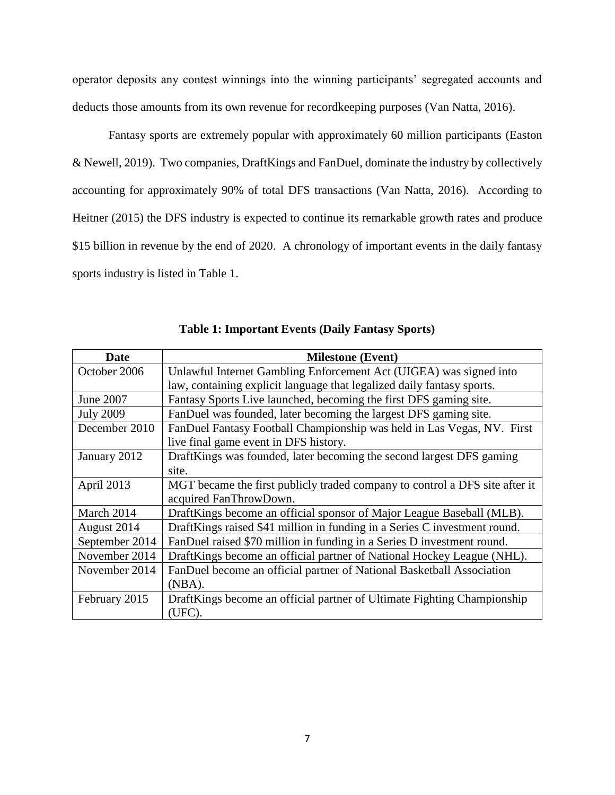operator deposits any contest winnings into the winning participants' segregated accounts and deducts those amounts from its own revenue for recordkeeping purposes (Van Natta, 2016).

Fantasy sports are extremely popular with approximately 60 million participants (Easton & Newell, 2019). Two companies, DraftKings and FanDuel, dominate the industry by collectively accounting for approximately 90% of total DFS transactions (Van Natta, 2016). According to Heitner (2015) the DFS industry is expected to continue its remarkable growth rates and produce \$15 billion in revenue by the end of 2020. A chronology of important events in the daily fantasy sports industry is listed in Table 1.

| Date             | <b>Milestone</b> (Event)                                                    |  |
|------------------|-----------------------------------------------------------------------------|--|
| October 2006     | Unlawful Internet Gambling Enforcement Act (UIGEA) was signed into          |  |
|                  | law, containing explicit language that legalized daily fantasy sports.      |  |
| June 2007        | Fantasy Sports Live launched, becoming the first DFS gaming site.           |  |
| <b>July 2009</b> | FanDuel was founded, later becoming the largest DFS gaming site.            |  |
| December 2010    | FanDuel Fantasy Football Championship was held in Las Vegas, NV. First      |  |
|                  | live final game event in DFS history.                                       |  |
| January 2012     | DraftKings was founded, later becoming the second largest DFS gaming        |  |
|                  | site.                                                                       |  |
| April 2013       | MGT became the first publicly traded company to control a DFS site after it |  |
|                  | acquired FanThrowDown.                                                      |  |
| March 2014       | DraftKings become an official sponsor of Major League Baseball (MLB).       |  |
| August 2014      | DraftKings raised \$41 million in funding in a Series C investment round.   |  |
| September 2014   | FanDuel raised \$70 million in funding in a Series D investment round.      |  |
| November 2014    | DraftKings become an official partner of National Hockey League (NHL).      |  |
| November 2014    | FanDuel become an official partner of National Basketball Association       |  |
|                  | $(NBA)$ .                                                                   |  |
| February 2015    | DraftKings become an official partner of Ultimate Fighting Championship     |  |
|                  | (UFC).                                                                      |  |

**Table 1: Important Events (Daily Fantasy Sports)**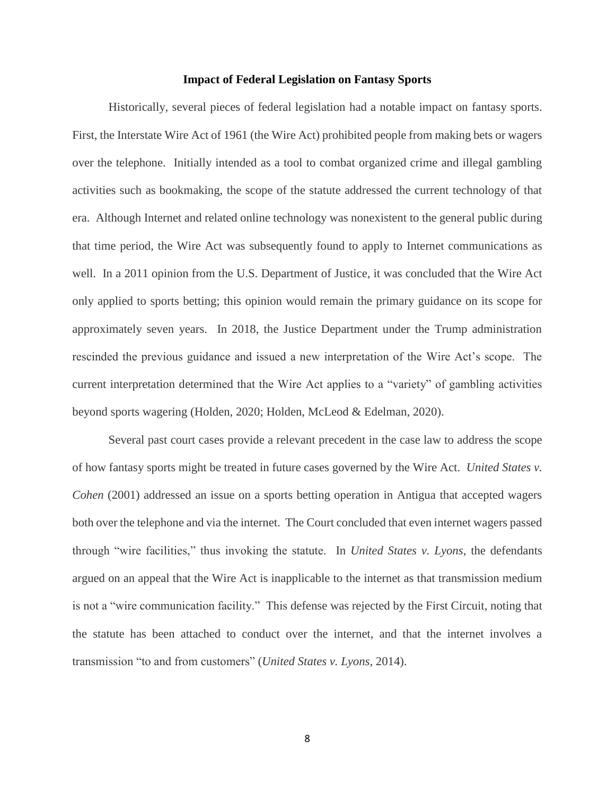#### **Impact of Federal Legislation on Fantasy Sports**

Historically, several pieces of federal legislation had a notable impact on fantasy sports. First, the Interstate Wire Act of 1961 (the Wire Act) prohibited people from making bets or wagers over the telephone. Initially intended as a tool to combat organized crime and illegal gambling activities such as bookmaking, the scope of the statute addressed the current technology of that era. Although Internet and related online technology was nonexistent to the general public during that time period, the Wire Act was subsequently found to apply to Internet communications as well. In a 2011 opinion from the U.S. Department of Justice, it was concluded that the Wire Act only applied to sports betting; this opinion would remain the primary guidance on its scope for approximately seven years. In 2018, the Justice Department under the Trump administration rescinded the previous guidance and issued a new interpretation of the Wire Act's scope. The current interpretation determined that the Wire Act applies to a "variety" of gambling activities beyond sports wagering (Holden, 2020; Holden, McLeod & Edelman, 2020).

Several past court cases provide a relevant precedent in the case law to address the scope of how fantasy sports might be treated in future cases governed by the Wire Act. *United States v. Cohen* (2001) addressed an issue on a sports betting operation in Antigua that accepted wagers both over the telephone and via the internet. The Court concluded that even internet wagers passed through "wire facilities," thus invoking the statute. In *United States v. Lyons*, the defendants argued on an appeal that the Wire Act is inapplicable to the internet as that transmission medium is not a "wire communication facility." This defense was rejected by the First Circuit, noting that the statute has been attached to conduct over the internet, and that the internet involves a transmission "to and from customers" (*United States v. Lyons*, 2014).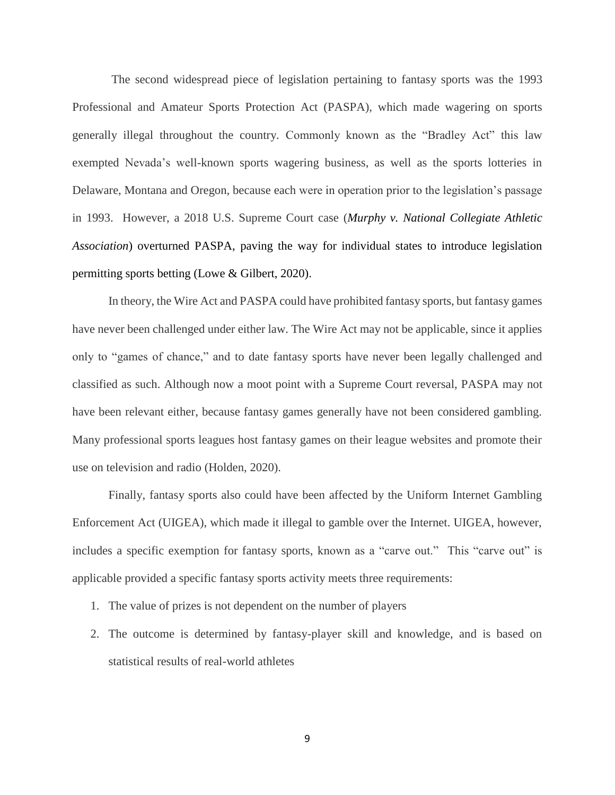The second widespread piece of legislation pertaining to fantasy sports was the 1993 Professional and Amateur Sports Protection Act (PASPA), which made wagering on sports generally illegal throughout the country. Commonly known as the "Bradley Act" this law exempted Nevada's well-known sports wagering business, as well as the sports lotteries in Delaware, Montana and Oregon, because each were in operation prior to the legislation's passage in 1993. However, a 2018 U.S. Supreme Court case (*Murphy v. National Collegiate Athletic Association*) overturned PASPA, paving the way for individual states to introduce legislation permitting sports betting (Lowe & Gilbert, 2020).

In theory, the Wire Act and PASPA could have prohibited fantasy sports, but fantasy games have never been challenged under either law. The Wire Act may not be applicable, since it applies only to "games of chance," and to date fantasy sports have never been legally challenged and classified as such. Although now a moot point with a Supreme Court reversal, PASPA may not have been relevant either, because fantasy games generally have not been considered gambling. Many professional sports leagues host fantasy games on their league websites and promote their use on television and radio (Holden, 2020).

Finally, fantasy sports also could have been affected by the Uniform Internet Gambling Enforcement Act (UIGEA), which made it illegal to gamble over the Internet. UIGEA, however, includes a specific exemption for fantasy sports, known as a "carve out." This "carve out" is applicable provided a specific fantasy sports activity meets three requirements:

- 1. The value of prizes is not dependent on the number of players
- 2. The outcome is determined by fantasy-player skill and knowledge, and is based on statistical results of real-world athletes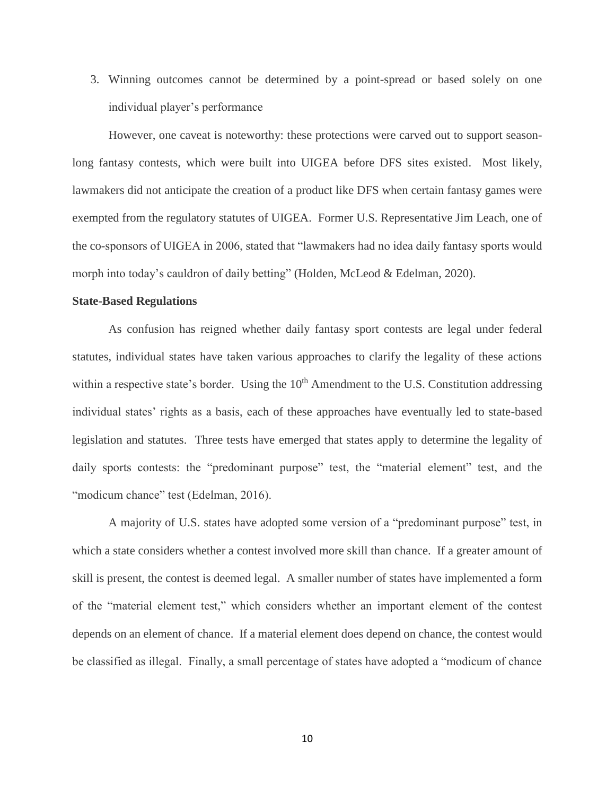3. Winning outcomes cannot be determined by a point-spread or based solely on one individual player's performance

However, one caveat is noteworthy: these protections were carved out to support seasonlong fantasy contests, which were built into UIGEA before DFS sites existed. Most likely, lawmakers did not anticipate the creation of a product like DFS when certain fantasy games were exempted from the regulatory statutes of UIGEA. Former U.S. Representative Jim Leach, one of the co-sponsors of UIGEA in 2006, stated that "lawmakers had no idea daily fantasy sports would morph into today's cauldron of daily betting" (Holden, McLeod & Edelman, 2020).

#### **State-Based Regulations**

As confusion has reigned whether daily fantasy sport contests are legal under federal statutes, individual states have taken various approaches to clarify the legality of these actions within a respective state's border. Using the  $10<sup>th</sup>$  Amendment to the U.S. Constitution addressing individual states' rights as a basis, each of these approaches have eventually led to state-based legislation and statutes. Three tests have emerged that states apply to determine the legality of daily sports contests: the "predominant purpose" test, the "material element" test, and the "modicum chance" test (Edelman, 2016).

A majority of U.S. states have adopted some version of a "predominant purpose" test, in which a state considers whether a contest involved more skill than chance. If a greater amount of skill is present, the contest is deemed legal. A smaller number of states have implemented a form of the "material element test," which considers whether an important element of the contest depends on an element of chance. If a material element does depend on chance, the contest would be classified as illegal. Finally, a small percentage of states have adopted a "modicum of chance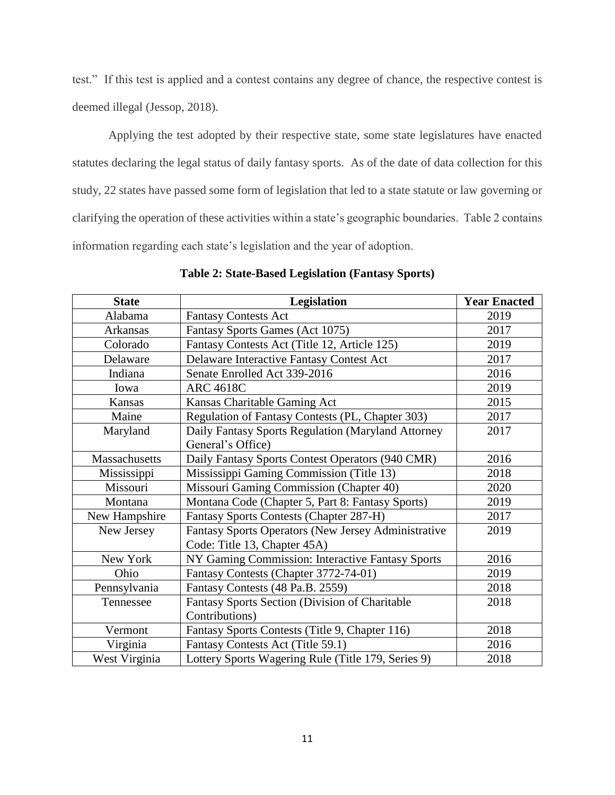test." If this test is applied and a contest contains any degree of chance, the respective contest is deemed illegal (Jessop, 2018).

Applying the test adopted by their respective state, some state legislatures have enacted statutes declaring the legal status of daily fantasy sports. As of the date of data collection for this study, 22 states have passed some form of legislation that led to a state statute or law governing or clarifying the operation of these activities within a state's geographic boundaries. Table 2 contains information regarding each state's legislation and the year of adoption.

| <b>State</b>         | Legislation                                         | <b>Year Enacted</b> |
|----------------------|-----------------------------------------------------|---------------------|
| Alabama              | <b>Fantasy Contests Act</b>                         | 2019                |
| Arkansas             | Fantasy Sports Games (Act 1075)                     | 2017                |
| Colorado             | Fantasy Contests Act (Title 12, Article 125)        | 2019                |
| Delaware             | Delaware Interactive Fantasy Contest Act            | 2017                |
| Indiana              | Senate Enrolled Act 339-2016                        | 2016                |
| Iowa                 | <b>ARC 4618C</b>                                    | 2019                |
| Kansas               | Kansas Charitable Gaming Act                        | 2015                |
| Maine                | Regulation of Fantasy Contests (PL, Chapter 303)    | 2017                |
| Maryland             | Daily Fantasy Sports Regulation (Maryland Attorney  | 2017                |
|                      | General's Office)                                   |                     |
| <b>Massachusetts</b> | Daily Fantasy Sports Contest Operators (940 CMR)    | 2016                |
| Mississippi          | Mississippi Gaming Commission (Title 13)            | 2018                |
| Missouri             | Missouri Gaming Commission (Chapter 40)             | 2020                |
| Montana              | Montana Code (Chapter 5, Part 8: Fantasy Sports)    | 2019                |
| New Hampshire        | <b>Fantasy Sports Contests (Chapter 287-H)</b>      | 2017                |
| New Jersey           | Fantasy Sports Operators (New Jersey Administrative | 2019                |
|                      | Code: Title 13, Chapter 45A)                        |                     |
| New York             | NY Gaming Commission: Interactive Fantasy Sports    | 2016                |
| Ohio                 | Fantasy Contests (Chapter 3772-74-01)               | 2019                |
| Pennsylvania         | Fantasy Contests (48 Pa.B. 2559)                    | 2018                |
| Tennessee            | Fantasy Sports Section (Division of Charitable      | 2018                |
|                      | Contributions)                                      |                     |
| Vermont              | Fantasy Sports Contests (Title 9, Chapter 116)      | 2018                |
| Virginia             | Fantasy Contests Act (Title 59.1)                   | 2016                |
| West Virginia        | Lottery Sports Wagering Rule (Title 179, Series 9)  | 2018                |

**Table 2: State-Based Legislation (Fantasy Sports)**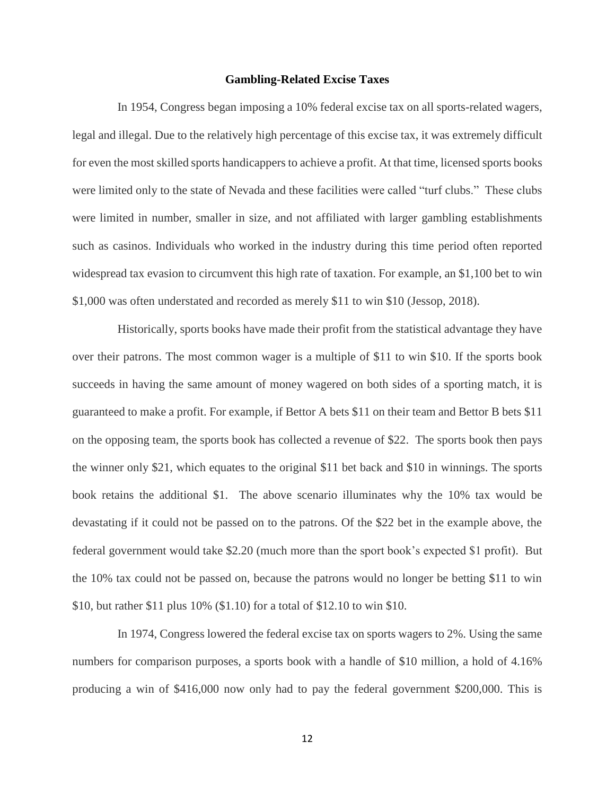#### **Gambling-Related Excise Taxes**

In 1954, Congress began imposing a 10% federal excise tax on all sports-related wagers, legal and illegal. Due to the relatively high percentage of this excise tax, it was extremely difficult for even the most skilled sports handicappers to achieve a profit. At that time, licensed sports books were limited only to the state of Nevada and these facilities were called "turf clubs." These clubs were limited in number, smaller in size, and not affiliated with larger gambling establishments such as casinos. Individuals who worked in the industry during this time period often reported widespread tax evasion to circumvent this high rate of taxation. For example, an \$1,100 bet to win \$1,000 was often understated and recorded as merely \$11 to win \$10 (Jessop, 2018).

Historically, sports books have made their profit from the statistical advantage they have over their patrons. The most common wager is a multiple of \$11 to win \$10. If the sports book succeeds in having the same amount of money wagered on both sides of a sporting match, it is guaranteed to make a profit. For example, if Bettor A bets \$11 on their team and Bettor B bets \$11 on the opposing team, the sports book has collected a revenue of \$22. The sports book then pays the winner only \$21, which equates to the original \$11 bet back and \$10 in winnings. The sports book retains the additional \$1. The above scenario illuminates why the 10% tax would be devastating if it could not be passed on to the patrons. Of the \$22 bet in the example above, the federal government would take \$2.20 (much more than the sport book's expected \$1 profit). But the 10% tax could not be passed on, because the patrons would no longer be betting \$11 to win \$10, but rather \$11 plus 10% (\$1.10) for a total of \$12.10 to win \$10.

In 1974, Congress lowered the federal excise tax on sports wagers to 2%. Using the same numbers for comparison purposes, a sports book with a handle of \$10 million, a hold of 4.16% producing a win of \$416,000 now only had to pay the federal government \$200,000. This is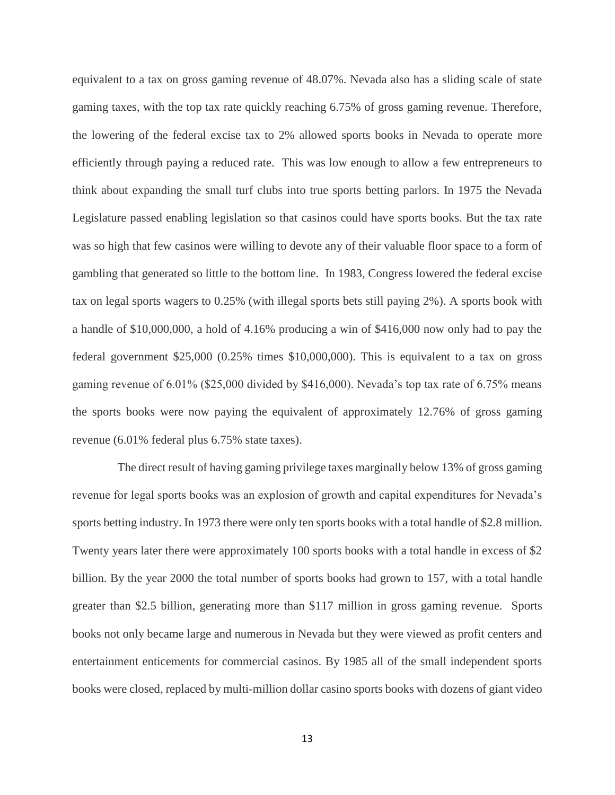equivalent to a tax on gross gaming revenue of 48.07%. Nevada also has a sliding scale of state gaming taxes, with the top tax rate quickly reaching 6.75% of gross gaming revenue. Therefore, the lowering of the federal excise tax to 2% allowed sports books in Nevada to operate more efficiently through paying a reduced rate. This was low enough to allow a few entrepreneurs to think about expanding the small turf clubs into true sports betting parlors. In 1975 the Nevada Legislature passed enabling legislation so that casinos could have sports books. But the tax rate was so high that few casinos were willing to devote any of their valuable floor space to a form of gambling that generated so little to the bottom line. In 1983, Congress lowered the federal excise tax on legal sports wagers to 0.25% (with illegal sports bets still paying 2%). A sports book with a handle of \$10,000,000, a hold of 4.16% producing a win of \$416,000 now only had to pay the federal government \$25,000 (0.25% times \$10,000,000). This is equivalent to a tax on gross gaming revenue of 6.01% (\$25,000 divided by \$416,000). Nevada's top tax rate of 6.75% means the sports books were now paying the equivalent of approximately 12.76% of gross gaming revenue (6.01% federal plus 6.75% state taxes).

The direct result of having gaming privilege taxes marginally below 13% of gross gaming revenue for legal sports books was an explosion of growth and capital expenditures for Nevada's sports betting industry. In 1973 there were only ten sports books with a total handle of \$2.8 million. Twenty years later there were approximately 100 sports books with a total handle in excess of \$2 billion. By the year 2000 the total number of sports books had grown to 157, with a total handle greater than \$2.5 billion, generating more than \$117 million in gross gaming revenue. Sports books not only became large and numerous in Nevada but they were viewed as profit centers and entertainment enticements for commercial casinos. By 1985 all of the small independent sports books were closed, replaced by multi-million dollar casino sports books with dozens of giant video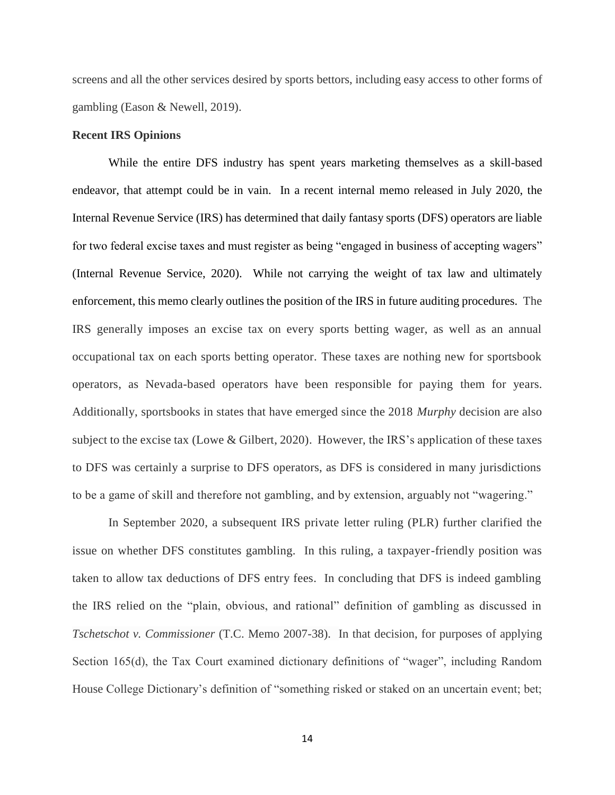screens and all the other services desired by sports bettors, including easy access to other forms of gambling (Eason & Newell, 2019).

# **Recent IRS Opinions**

While the entire DFS industry has spent years marketing themselves as a skill-based endeavor, that attempt could be in vain. In a recent internal memo released in July 2020, the Internal Revenue Service (IRS) has determined that daily fantasy sports (DFS) operators are liable for two federal excise taxes and must register as being "engaged in business of accepting wagers" (Internal Revenue Service, 2020). While not carrying the weight of tax law and ultimately enforcement, this memo clearly outlines the position of the IRS in future auditing procedures. The IRS generally imposes an excise tax on every sports betting wager, as well as an annual occupational tax on each sports betting operator. These taxes are nothing new for sportsbook operators, as Nevada-based operators have been responsible for paying them for years. Additionally, sportsbooks in states that have emerged since the 2018 *Murphy* decision are also subject to the excise tax (Lowe & Gilbert, 2020). However, the IRS's application of these taxes to DFS was certainly a surprise to DFS operators, as DFS is considered in many jurisdictions to be a game of skill and therefore not gambling, and by extension, arguably not "wagering."

In September 2020, a subsequent IRS private letter ruling (PLR) further clarified the issue on whether DFS constitutes gambling. In this ruling, a taxpayer-friendly position was taken to allow tax deductions of DFS entry fees. In concluding that DFS is indeed gambling the IRS relied on the "plain, obvious, and rational" definition of gambling as discussed in *Tschetschot v. Commissioner* (T.C. Memo 2007-38). In that decision, for purposes of applying Section 165(d), the Tax Court examined dictionary definitions of "wager", including Random House College Dictionary's definition of "something risked or staked on an uncertain event; bet;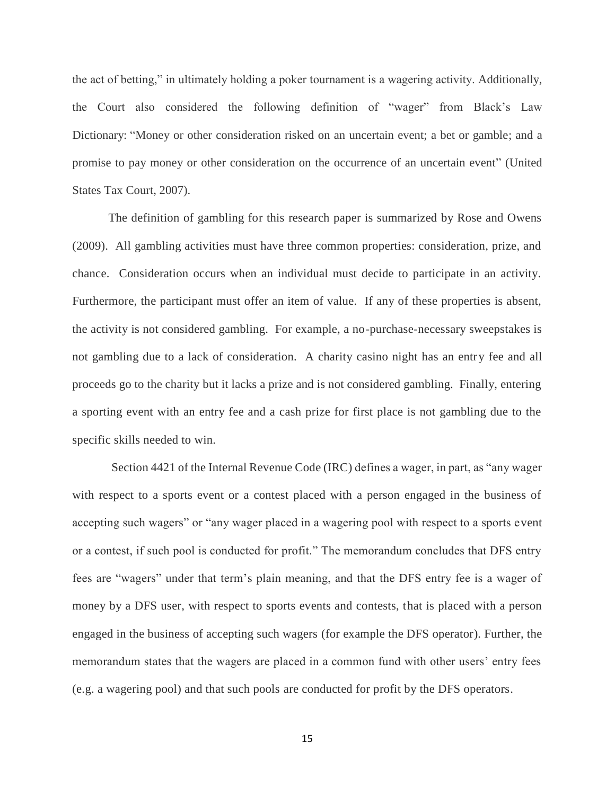the act of betting," in ultimately holding a poker tournament is a wagering activity. Additionally, the Court also considered the following definition of "wager" from Black's Law Dictionary: "Money or other consideration risked on an uncertain event; a bet or gamble; and a promise to pay money or other consideration on the occurrence of an uncertain event" (United States Tax Court, 2007).

The definition of gambling for this research paper is summarized by Rose and Owens (2009). All gambling activities must have three common properties: consideration, prize, and chance. Consideration occurs when an individual must decide to participate in an activity. Furthermore, the participant must offer an item of value. If any of these properties is absent, the activity is not considered gambling. For example, a no-purchase-necessary sweepstakes is not gambling due to a lack of consideration. A charity casino night has an entry fee and all proceeds go to the charity but it lacks a prize and is not considered gambling. Finally, entering a sporting event with an entry fee and a cash prize for first place is not gambling due to the specific skills needed to win.

Section 4421 of the Internal Revenue Code (IRC) defines a wager, in part, as "any wager with respect to a sports event or a contest placed with a person engaged in the business of accepting such wagers" or "any wager placed in a wagering pool with respect to a sports event or a contest, if such pool is conducted for profit." The memorandum concludes that DFS entry fees are "wagers" under that term's plain meaning, and that the DFS entry fee is a wager of money by a DFS user, with respect to sports events and contests, that is placed with a person engaged in the business of accepting such wagers (for example the DFS operator). Further, the memorandum states that the wagers are placed in a common fund with other users' entry fees (e.g. a wagering pool) and that such pools are conducted for profit by the DFS operators.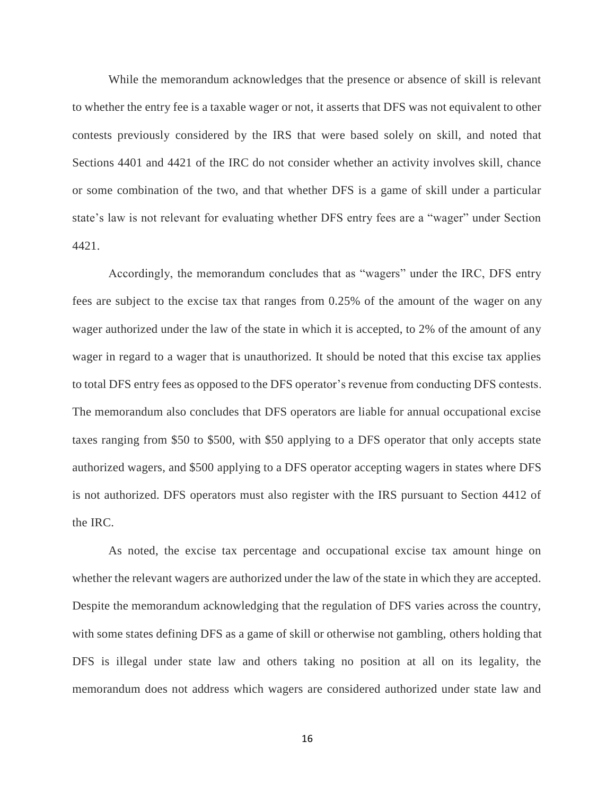While the memorandum acknowledges that the presence or absence of skill is relevant to whether the entry fee is a taxable wager or not, it asserts that DFS was not equivalent to other contests previously considered by the IRS that were based solely on skill, and noted that Sections 4401 and 4421 of the IRC do not consider whether an activity involves skill, chance or some combination of the two, and that whether DFS is a game of skill under a particular state's law is not relevant for evaluating whether DFS entry fees are a "wager" under Section 4421.

Accordingly, the memorandum concludes that as "wagers" under the IRC, DFS entry fees are subject to the excise tax that ranges from 0.25% of the amount of the wager on any wager authorized under the law of the state in which it is accepted, to 2% of the amount of any wager in regard to a wager that is unauthorized. It should be noted that this excise tax applies to total DFS entry fees as opposed to the DFS operator's revenue from conducting DFS contests. The memorandum also concludes that DFS operators are liable for annual occupational excise taxes ranging from \$50 to \$500, with \$50 applying to a DFS operator that only accepts state authorized wagers, and \$500 applying to a DFS operator accepting wagers in states where DFS is not authorized. DFS operators must also register with the IRS pursuant to Section 4412 of the IRC.

As noted, the excise tax percentage and occupational excise tax amount hinge on whether the relevant wagers are authorized under the law of the state in which they are accepted. Despite the memorandum acknowledging that the regulation of DFS varies across the country, with some states defining DFS as a game of skill or otherwise not gambling, others holding that DFS is illegal under state law and others taking no position at all on its legality, the memorandum does not address which wagers are considered authorized under state law and

16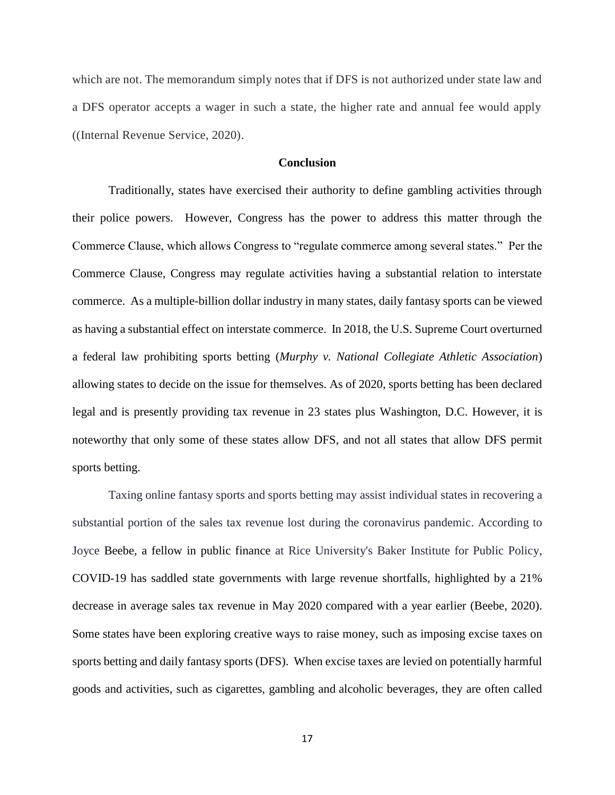which are not. The memorandum simply notes that if DFS is not authorized under state law and a DFS operator accepts a wager in such a state, the higher rate and annual fee would apply ((Internal Revenue Service, 2020).

# **Conclusion**

Traditionally, states have exercised their authority to define gambling activities through their police powers. However, Congress has the power to address this matter through the Commerce Clause, which allows Congress to "regulate commerce among several states." Per the Commerce Clause, Congress may regulate activities having a substantial relation to interstate commerce. As a multiple-billion dollar industry in many states, daily fantasy sports can be viewed as having a substantial effect on interstate commerce. In 2018, the U.S. Supreme Court overturned a federal law prohibiting sports betting (*Murphy v. National Collegiate Athletic Association*) allowing states to decide on the issue for themselves. As of 2020, sports betting has been declared legal and is presently providing tax revenue in 23 states plus Washington, D.C. However, it is noteworthy that only some of these states allow DFS, and not all states that allow DFS permit sports betting.

Taxing online fantasy sports and sports betting may assist individual states in recovering a substantial portion of the sales tax revenue lost during the coronavirus pandemic. According to Joyce Beebe, a fellow in public finance at Rice University's Baker Institute for Public Policy, COVID-19 has saddled state governments with large revenue shortfalls, highlighted by a 21% decrease in average sales tax revenue in May 2020 compared with a year earlier (Beebe, 2020). Some [states](https://phys.org/tags/states/) have been exploring creative ways to raise money, such as imposing excise taxes on sports betting and daily fantasy sports (DFS). When excise taxes are levied on potentially harmful goods and activities, such as cigarettes, gambling and [alcoholic beverages,](https://phys.org/tags/alcoholic+beverages/) they are often called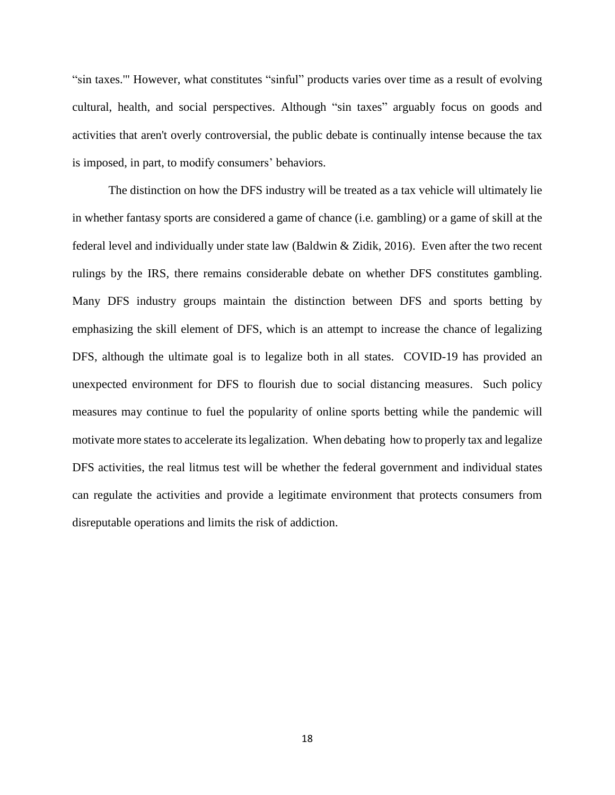"sin taxes.'" However, what constitutes "sinful" products varies over time as a result of evolving cultural, health, and social perspectives. Although "sin taxes" arguably focus on goods and activities that aren't overly controversial, the [public debate](https://phys.org/tags/public+debate/) is continually intense because the tax is imposed, in part, to modify consumers' behaviors.

The distinction on how the DFS industry will be treated as a tax vehicle will ultimately lie in whether fantasy sports are considered a game of chance (i.e. gambling) or a game of skill at the federal level and individually under state law (Baldwin & Zidik, 2016). Even after the two recent rulings by the IRS, there remains considerable debate on whether DFS constitutes gambling. Many DFS industry groups maintain the distinction between DFS and sports betting by emphasizing the skill element of DFS, which is an attempt to increase the chance of legalizing DFS, although the ultimate goal is to legalize both in all states. COVID-19 has provided an unexpected environment for DFS to flourish due to social distancing measures. Such policy measures may continue to fuel the popularity of online sports betting while the pandemic will motivate more states to accelerate its legalization. When debating how to properly tax and legalize DFS activities, the real litmus test will be whether the federal government and individual states can regulate the activities and provide a legitimate environment that protects consumers from disreputable operations and limits the risk of addiction.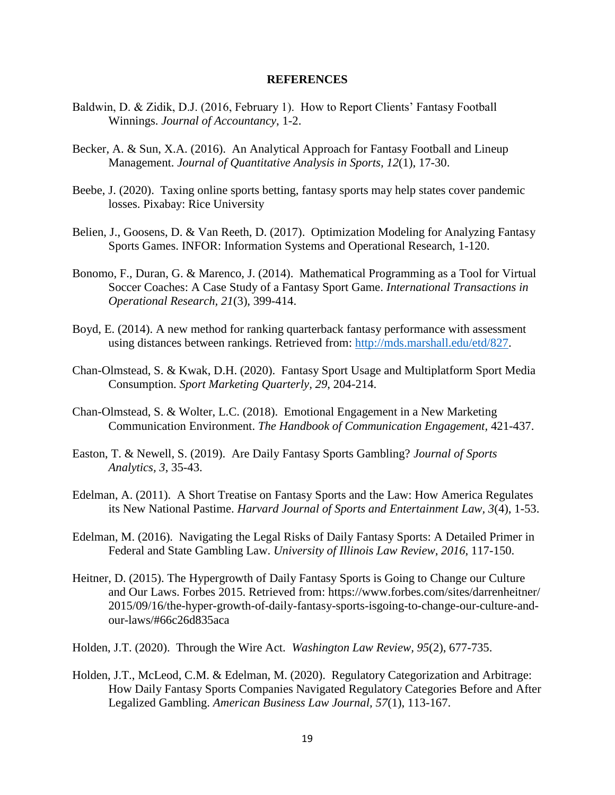# **REFERENCES**

- Baldwin, D. & Zidik, D.J. (2016, February 1). How to Report Clients' Fantasy Football Winnings. *Journal of Accountancy*, 1-2.
- Becker, A. & Sun, X.A. (2016). An Analytical Approach for Fantasy Football and Lineup Management. *Journal of Quantitative Analysis in Sports, 12*(1), 17-30.
- Beebe, J. (2020). Taxing online sports betting, fantasy sports may help states cover pandemic losses. Pixabay: Rice University
- Belien, J., Goosens, D. & Van Reeth, D. (2017). Optimization Modeling for Analyzing Fantasy Sports Games. INFOR: Information Systems and Operational Research, 1-120.
- Bonomo, F., Duran, G. & Marenco, J. (2014). Mathematical Programming as a Tool for Virtual Soccer Coaches: A Case Study of a Fantasy Sport Game. *International Transactions in Operational Research, 21*(3), 399-414.
- Boyd, E. (2014). A new method for ranking quarterback fantasy performance with assessment using distances between rankings. Retrieved from: [http://mds.marshall.edu/etd/827.](http://mds.marshall.edu/etd/827)
- Chan-Olmstead, S. & Kwak, D.H. (2020). Fantasy Sport Usage and Multiplatform Sport Media Consumption. *Sport Marketing Quarterly, 29*, 204-214.
- Chan-Olmstead, S. & Wolter, L.C. (2018). Emotional Engagement in a New Marketing Communication Environment. *The Handbook of Communication Engagement,* 421-437.
- Easton, T. & Newell, S. (2019). Are Daily Fantasy Sports Gambling? *Journal of Sports Analytics, 3*, 35-43.
- Edelman, A. (2011). A Short Treatise on Fantasy Sports and the Law: How America Regulates its New National Pastime. *Harvard Journal of Sports and Entertainment Law, 3*(4), 1-53.
- Edelman, M. (2016). Navigating the Legal Risks of Daily Fantasy Sports: A Detailed Primer in Federal and State Gambling Law. *University of Illinois Law Review*, *2016*, 117-150.
- Heitner, D. (2015). The Hypergrowth of Daily Fantasy Sports is Going to Change our Culture and Our Laws. Forbes 2015. Retrieved from: https://www.forbes.com/sites/darrenheitner/ 2015/09/16/the-hyper-growth-of-daily-fantasy-sports-isgoing-to-change-our-culture-andour-laws/#66c26d835aca

Holden, J.T. (2020). Through the Wire Act. *Washington Law Review, 95*(2), 677-735.

Holden, J.T., McLeod, C.M. & Edelman, M. (2020). Regulatory Categorization and Arbitrage: How Daily Fantasy Sports Companies Navigated Regulatory Categories Before and After Legalized Gambling. *American Business Law Journal, 57*(1), 113-167.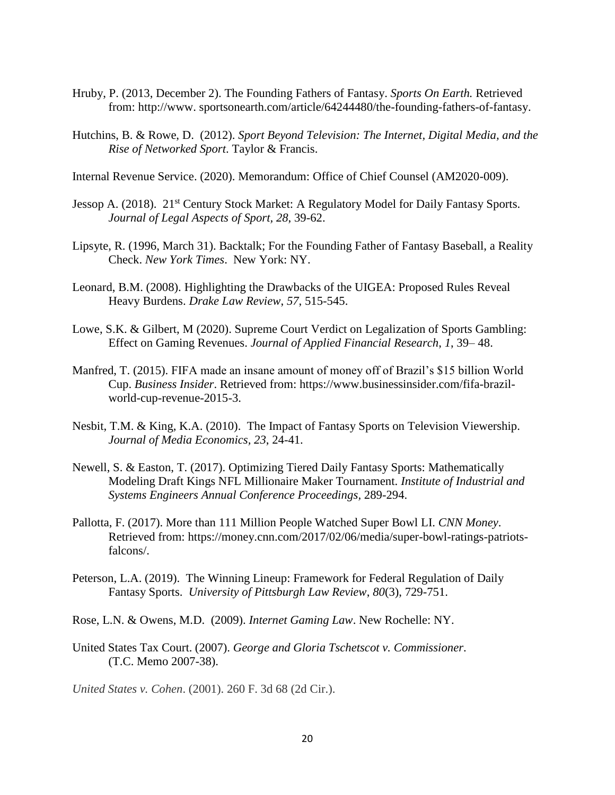- Hruby, P. (2013, December 2). The Founding Fathers of Fantasy. *Sports On Earth.* Retrieved from: http://www. sportsonearth.com/article/64244480/the-founding-fathers-of-fantasy.
- Hutchins, B. & Rowe, D. (2012). *Sport Beyond Television: The Internet, Digital Media, and the Rise of Networked Sport*. Taylor & Francis.

Internal Revenue Service. (2020). Memorandum: Office of Chief Counsel (AM2020-009).

- Jessop A. (2018). 21<sup>st</sup> Century Stock Market: A Regulatory Model for Daily Fantasy Sports. *Journal of Legal Aspects of Sport, 28*, 39-62.
- Lipsyte, R. (1996, March 31). Backtalk; For the Founding Father of Fantasy Baseball, a Reality Check. *New York Times*. New York: NY.
- Leonard, B.M. (2008). Highlighting the Drawbacks of the UIGEA: Proposed Rules Reveal Heavy Burdens. *Drake Law Review*, *57*, 515-545.
- Lowe, S.K. & Gilbert, M (2020). Supreme Court Verdict on Legalization of Sports Gambling: Effect on Gaming Revenues. *Journal of Applied Financial Research*, *1*, 39– 48.
- Manfred, T. (2015). FIFA made an insane amount of money off of Brazil's \$15 billion World Cup. *Business Insider*. Retrieved from: https://www.businessinsider.com/fifa-brazilworld-cup-revenue-2015-3.
- Nesbit, T.M. & King, K.A. (2010). The Impact of Fantasy Sports on Television Viewership. *Journal of Media Economics, 23*, 24-41.
- Newell, S. & Easton, T. (2017). Optimizing Tiered Daily Fantasy Sports: Mathematically Modeling Draft Kings NFL Millionaire Maker Tournament. *Institute of Industrial and Systems Engineers Annual Conference Proceedings,* 289-294.
- Pallotta, F. (2017). More than 111 Million People Watched Super Bowl LI. *CNN Money*. Retrieved from: https://money.cnn.com/2017/02/06/media/super-bowl-ratings-patriotsfalcons/.
- Peterson, L.A. (2019). The Winning Lineup: Framework for Federal Regulation of Daily Fantasy Sports. *University of Pittsburgh Law Review*, *80*(3), 729-751.
- Rose, L.N. & Owens, M.D. (2009). *Internet Gaming Law*. New Rochelle: NY.
- United States Tax Court. (2007). *George and Gloria Tschetscot v. Commissioner*. (T.C. Memo 2007-38).

*United States v. Cohen*. (2001). 260 F. 3d 68 (2d Cir.).